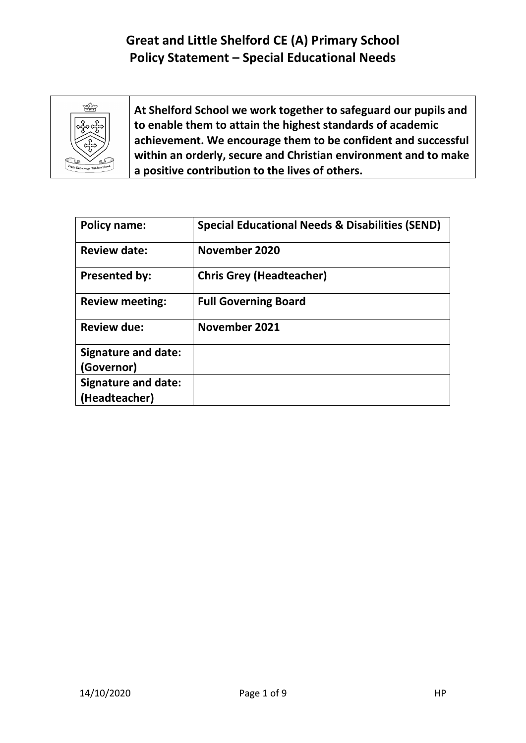

**At Shelford School we work together to safeguard our pupils and to enable them to attain the highest standards of academic achievement. We encourage them to be confident and successful within an orderly, secure and Christian environment and to make a positive contribution to the lives of others.**

| <b>Policy name:</b>        | <b>Special Educational Needs &amp; Disabilities (SEND)</b> |
|----------------------------|------------------------------------------------------------|
| <b>Review date:</b>        | November 2020                                              |
| <b>Presented by:</b>       | <b>Chris Grey (Headteacher)</b>                            |
| <b>Review meeting:</b>     | <b>Full Governing Board</b>                                |
| <b>Review due:</b>         | November 2021                                              |
| <b>Signature and date:</b> |                                                            |
| (Governor)                 |                                                            |
| <b>Signature and date:</b> |                                                            |
| (Headteacher)              |                                                            |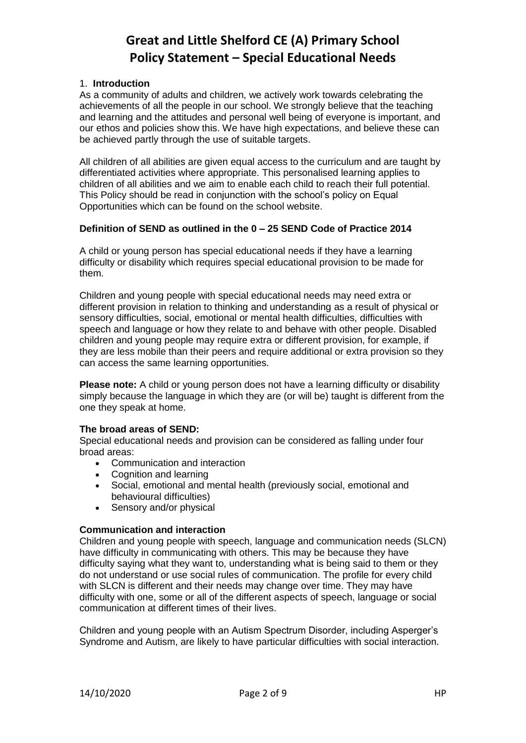### 1. **Introduction**

As a community of adults and children, we actively work towards celebrating the achievements of all the people in our school. We strongly believe that the teaching and learning and the attitudes and personal well being of everyone is important, and our ethos and policies show this. We have high expectations, and believe these can be achieved partly through the use of suitable targets.

All children of all abilities are given equal access to the curriculum and are taught by differentiated activities where appropriate. This personalised learning applies to children of all abilities and we aim to enable each child to reach their full potential. This Policy should be read in conjunction with the school's policy on Equal Opportunities which can be found on the school website.

### **Definition of SEND as outlined in the 0 – 25 SEND Code of Practice 2014**

A child or young person has special educational needs if they have a learning difficulty or disability which requires special educational provision to be made for them.

Children and young people with special educational needs may need extra or different provision in relation to thinking and understanding as a result of physical or sensory difficulties, social, emotional or mental health difficulties, difficulties with speech and language or how they relate to and behave with other people. Disabled children and young people may require extra or different provision, for example, if they are less mobile than their peers and require additional or extra provision so they can access the same learning opportunities.

**Please note:** A child or young person does not have a learning difficulty or disability simply because the language in which they are (or will be) taught is different from the one they speak at home.

### **The broad areas of SEND:**

Special educational needs and provision can be considered as falling under four broad areas:

- Communication and interaction
- Cognition and learning
- Social, emotional and mental health (previously social, emotional and behavioural difficulties)
- Sensory and/or physical

### **Communication and interaction**

Children and young people with speech, language and communication needs (SLCN) have difficulty in communicating with others. This may be because they have difficulty saying what they want to, understanding what is being said to them or they do not understand or use social rules of communication. The profile for every child with SLCN is different and their needs may change over time. They may have difficulty with one, some or all of the different aspects of speech, language or social communication at different times of their lives.

Children and young people with an Autism Spectrum Disorder, including Asperger's Syndrome and Autism, are likely to have particular difficulties with social interaction.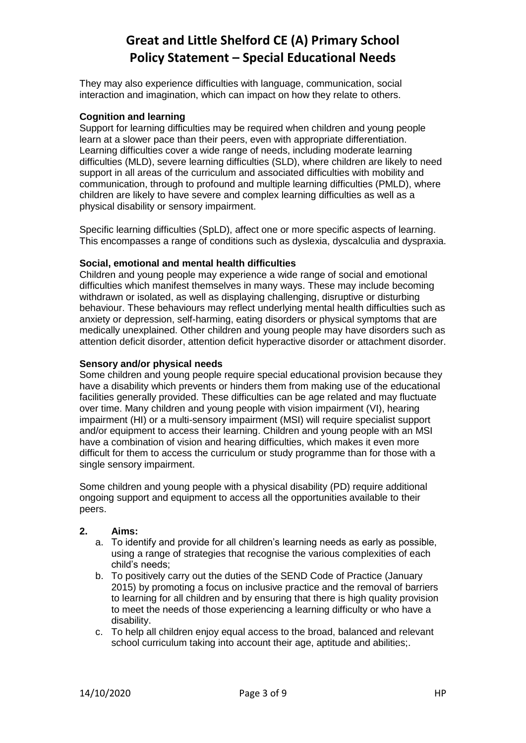They may also experience difficulties with language, communication, social interaction and imagination, which can impact on how they relate to others.

#### **Cognition and learning**

Support for learning difficulties may be required when children and young people learn at a slower pace than their peers, even with appropriate differentiation. Learning difficulties cover a wide range of needs, including moderate learning difficulties (MLD), severe learning difficulties (SLD), where children are likely to need support in all areas of the curriculum and associated difficulties with mobility and communication, through to profound and multiple learning difficulties (PMLD), where children are likely to have severe and complex learning difficulties as well as a physical disability or sensory impairment.

Specific learning difficulties (SpLD), affect one or more specific aspects of learning. This encompasses a range of conditions such as dyslexia, dyscalculia and dyspraxia.

#### **Social, emotional and mental health difficulties**

Children and young people may experience a wide range of social and emotional difficulties which manifest themselves in many ways. These may include becoming withdrawn or isolated, as well as displaying challenging, disruptive or disturbing behaviour. These behaviours may reflect underlying mental health difficulties such as anxiety or depression, self-harming, eating disorders or physical symptoms that are medically unexplained. Other children and young people may have disorders such as attention deficit disorder, attention deficit hyperactive disorder or attachment disorder.

#### **Sensory and/or physical needs**

Some children and young people require special educational provision because they have a disability which prevents or hinders them from making use of the educational facilities generally provided. These difficulties can be age related and may fluctuate over time. Many children and young people with vision impairment (VI), hearing impairment (HI) or a multi-sensory impairment (MSI) will require specialist support and/or equipment to access their learning. Children and young people with an MSI have a combination of vision and hearing difficulties, which makes it even more difficult for them to access the curriculum or study programme than for those with a single sensory impairment.

Some children and young people with a physical disability (PD) require additional ongoing support and equipment to access all the opportunities available to their peers.

#### **2. Aims:**

- a. To identify and provide for all children's learning needs as early as possible, using a range of strategies that recognise the various complexities of each child's needs;
- b. To positively carry out the duties of the SEND Code of Practice (January 2015) by promoting a focus on inclusive practice and the removal of barriers to learning for all children and by ensuring that there is high quality provision to meet the needs of those experiencing a learning difficulty or who have a disability.
- c. To help all children enjoy equal access to the broad, balanced and relevant school curriculum taking into account their age, aptitude and abilities;.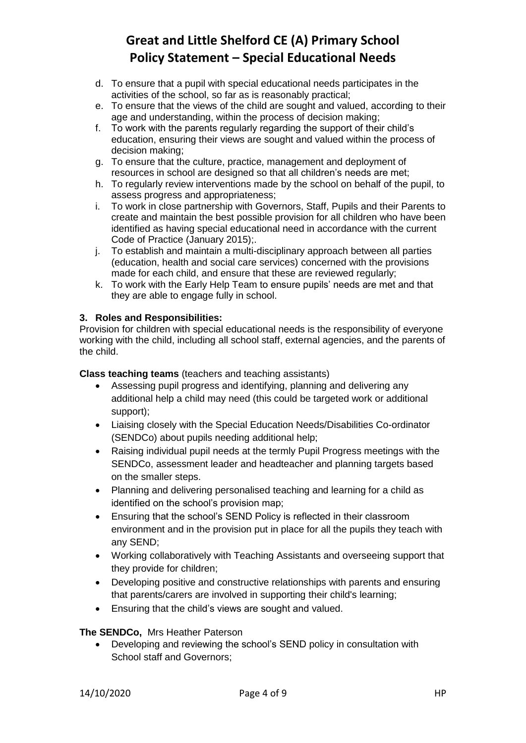- d. To ensure that a pupil with special educational needs participates in the activities of the school, so far as is reasonably practical;
- e. To ensure that the views of the child are sought and valued, according to their age and understanding, within the process of decision making;
- f. To work with the parents regularly regarding the support of their child's education, ensuring their views are sought and valued within the process of decision making;
- g. To ensure that the culture, practice, management and deployment of resources in school are designed so that all children's needs are met;
- h. To regularly review interventions made by the school on behalf of the pupil, to assess progress and appropriateness;
- i. To work in close partnership with Governors, Staff, Pupils and their Parents to create and maintain the best possible provision for all children who have been identified as having special educational need in accordance with the current Code of Practice (January 2015);.
- j. To establish and maintain a multi-disciplinary approach between all parties (education, health and social care services) concerned with the provisions made for each child, and ensure that these are reviewed regularly;
- k. To work with the Early Help Team to ensure pupils' needs are met and that they are able to engage fully in school.

### **3. Roles and Responsibilities:**

Provision for children with special educational needs is the responsibility of everyone working with the child, including all school staff, external agencies, and the parents of the child.

### **Class teaching teams** (teachers and teaching assistants)

- Assessing pupil progress and identifying, planning and delivering any additional help a child may need (this could be targeted work or additional support);
- Liaising closely with the Special Education Needs/Disabilities Co-ordinator (SENDCo) about pupils needing additional help;
- Raising individual pupil needs at the termly Pupil Progress meetings with the SENDCo, assessment leader and headteacher and planning targets based on the smaller steps.
- Planning and delivering personalised teaching and learning for a child as identified on the school's provision map;
- Ensuring that the school's SEND Policy is reflected in their classroom environment and in the provision put in place for all the pupils they teach with any SEND;
- Working collaboratively with Teaching Assistants and overseeing support that they provide for children;
- Developing positive and constructive relationships with parents and ensuring that parents/carers are involved in supporting their child's learning;
- Ensuring that the child's views are sought and valued.

### **The SENDCo,** Mrs Heather Paterson

 Developing and reviewing the school's SEND policy in consultation with School staff and Governors;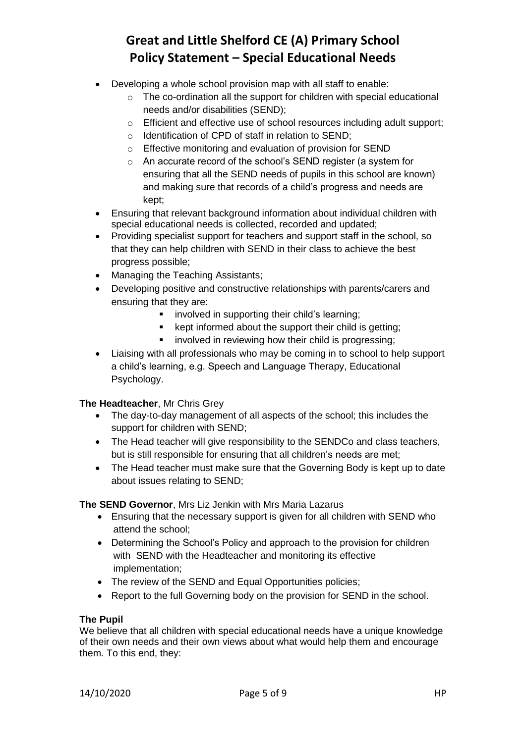- Developing a whole school provision map with all staff to enable:
	- o The co-ordination all the support for children with special educational needs and/or disabilities (SEND);
	- o Efficient and effective use of school resources including adult support;
	- o Identification of CPD of staff in relation to SEND;
	- o Effective monitoring and evaluation of provision for SEND
	- o An accurate record of the school's SEND register (a system for ensuring that all the SEND needs of pupils in this school are known) and making sure that records of a child's progress and needs are kept;
- Ensuring that relevant background information about individual children with special educational needs is collected, recorded and updated;
- Providing specialist support for teachers and support staff in the school, so that they can help children with SEND in their class to achieve the best progress possible;
- Managing the Teaching Assistants:
- Developing positive and constructive relationships with parents/carers and ensuring that they are:
	- **EXEDENT** involved in supporting their child's learning;
	- **EXECT:** kept informed about the support their child is getting;
	- **EXECUTE:** involved in reviewing how their child is progressing;
- Liaising with all professionals who may be coming in to school to help support a child's learning, e.g. Speech and Language Therapy, Educational Psychology.

### **The Headteacher**, Mr Chris Grey

- The day-to-day management of all aspects of the school; this includes the support for children with SEND;
- The Head teacher will give responsibility to the SENDCo and class teachers, but is still responsible for ensuring that all children's needs are met;
- The Head teacher must make sure that the Governing Body is kept up to date about issues relating to SEND;

**The SEND Governor**, Mrs Liz Jenkin with Mrs Maria Lazarus

- Ensuring that the necessary support is given for all children with SEND who attend the school;
- Determining the School's Policy and approach to the provision for children with SEND with the Headteacher and monitoring its effective implementation;
- The review of the SEND and Equal Opportunities policies;
- Report to the full Governing body on the provision for SEND in the school.

### **The Pupil**

We believe that all children with special educational needs have a unique knowledge of their own needs and their own views about what would help them and encourage them. To this end, they: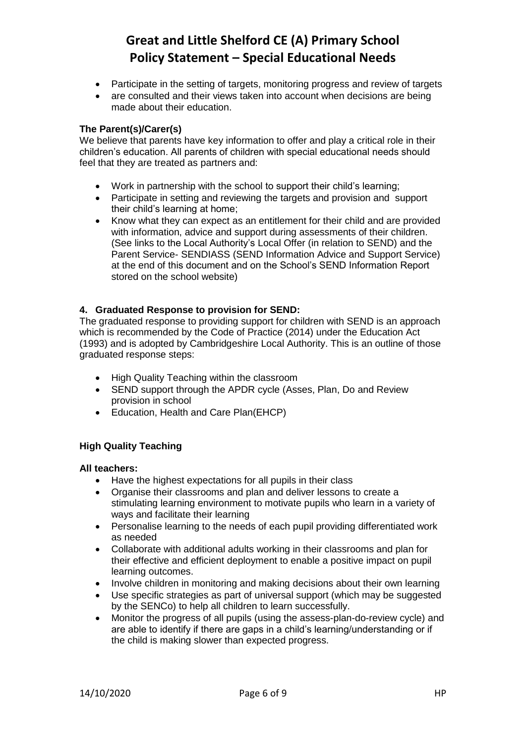- Participate in the setting of targets, monitoring progress and review of targets
- are consulted and their views taken into account when decisions are being made about their education.

### **The Parent(s)/Carer(s)**

We believe that parents have key information to offer and play a critical role in their children's education. All parents of children with special educational needs should feel that they are treated as partners and:

- Work in partnership with the school to support their child's learning;
- Participate in setting and reviewing the targets and provision and support their child's learning at home;
- Know what they can expect as an entitlement for their child and are provided with information, advice and support during assessments of their children. (See links to the Local Authority's Local Offer (in relation to SEND) and the Parent Service- SENDIASS (SEND Information Advice and Support Service) at the end of this document and on the School's SEND Information Report stored on the school website)

### **4. Graduated Response to provision for SEND:**

The graduated response to providing support for children with SEND is an approach which is recommended by the Code of Practice (2014) under the Education Act (1993) and is adopted by Cambridgeshire Local Authority. This is an outline of those graduated response steps:

- High Quality Teaching within the classroom
- SEND support through the APDR cycle (Asses, Plan, Do and Review provision in school
- Education, Health and Care Plan(EHCP)

### **High Quality Teaching**

### **All teachers:**

- Have the highest expectations for all pupils in their class
- Organise their classrooms and plan and deliver lessons to create a stimulating learning environment to motivate pupils who learn in a variety of ways and facilitate their learning
- Personalise learning to the needs of each pupil providing differentiated work as needed
- Collaborate with additional adults working in their classrooms and plan for their effective and efficient deployment to enable a positive impact on pupil learning outcomes.
- Involve children in monitoring and making decisions about their own learning
- Use specific strategies as part of universal support (which may be suggested by the SENCo) to help all children to learn successfully.
- Monitor the progress of all pupils (using the assess-plan-do-review cycle) and are able to identify if there are gaps in a child's learning/understanding or if the child is making slower than expected progress.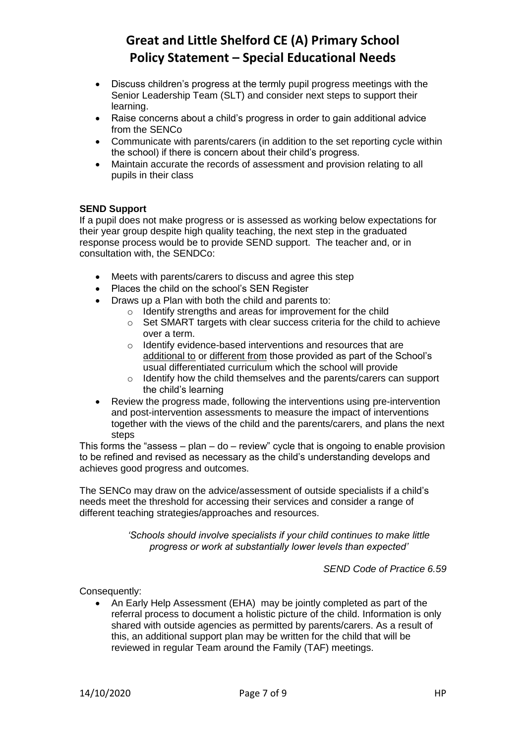- Discuss children's progress at the termly pupil progress meetings with the Senior Leadership Team (SLT) and consider next steps to support their learning.
- Raise concerns about a child's progress in order to gain additional advice from the SENCo
- Communicate with parents/carers (in addition to the set reporting cycle within the school) if there is concern about their child's progress.
- Maintain accurate the records of assessment and provision relating to all pupils in their class

### **SEND Support**

If a pupil does not make progress or is assessed as working below expectations for their year group despite high quality teaching, the next step in the graduated response process would be to provide SEND support. The teacher and, or in consultation with, the SENDCo:

- Meets with parents/carers to discuss and agree this step
- Places the child on the school's SEN Register
- Draws up a Plan with both the child and parents to:
	- o Identify strengths and areas for improvement for the child
	- o Set SMART targets with clear success criteria for the child to achieve over a term.
	- o Identify evidence-based interventions and resources that are additional to or different from those provided as part of the School's usual differentiated curriculum which the school will provide
	- o Identify how the child themselves and the parents/carers can support the child's learning
- Review the progress made, following the interventions using pre-intervention and post-intervention assessments to measure the impact of interventions together with the views of the child and the parents/carers, and plans the next steps

This forms the "assess  $-$  plan  $-$  do  $-$  review" cycle that is ongoing to enable provision to be refined and revised as necessary as the child's understanding develops and achieves good progress and outcomes.

The SENCo may draw on the advice/assessment of outside specialists if a child's needs meet the threshold for accessing their services and consider a range of different teaching strategies/approaches and resources.

> *'Schools should involve specialists if your child continues to make little progress or work at substantially lower levels than expected'*

> > *SEND Code of Practice 6.59*

Consequently:

 An Early Help Assessment (EHA) may be jointly completed as part of the referral process to document a holistic picture of the child. Information is only shared with outside agencies as permitted by parents/carers. As a result of this, an additional support plan may be written for the child that will be reviewed in regular Team around the Family (TAF) meetings.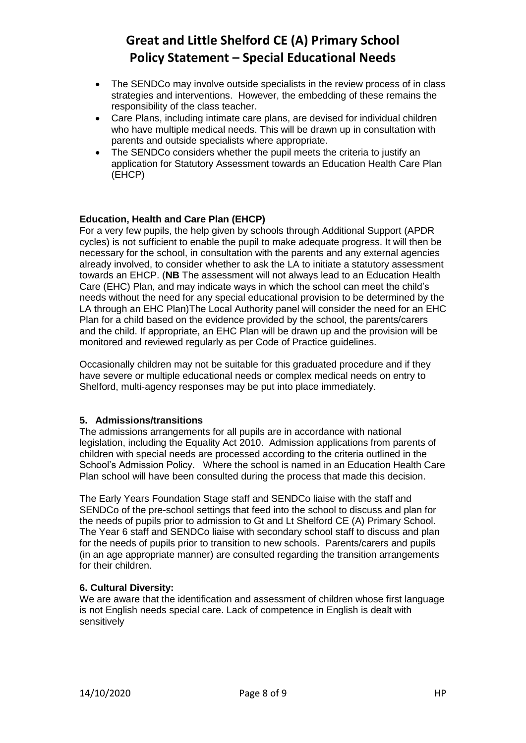- The SENDCo may involve outside specialists in the review process of in class strategies and interventions. However, the embedding of these remains the responsibility of the class teacher.
- Care Plans, including intimate care plans, are devised for individual children who have multiple medical needs. This will be drawn up in consultation with parents and outside specialists where appropriate.
- The SENDCo considers whether the pupil meets the criteria to justify an application for Statutory Assessment towards an Education Health Care Plan (EHCP)

### **Education, Health and Care Plan (EHCP)**

For a very few pupils, the help given by schools through Additional Support (APDR cycles) is not sufficient to enable the pupil to make adequate progress. It will then be necessary for the school, in consultation with the parents and any external agencies already involved, to consider whether to ask the LA to initiate a statutory assessment towards an EHCP. (**NB** The assessment will not always lead to an Education Health Care (EHC) Plan, and may indicate ways in which the school can meet the child's needs without the need for any special educational provision to be determined by the LA through an EHC Plan)The Local Authority panel will consider the need for an EHC Plan for a child based on the evidence provided by the school, the parents/carers and the child. If appropriate, an EHC Plan will be drawn up and the provision will be monitored and reviewed regularly as per Code of Practice guidelines.

Occasionally children may not be suitable for this graduated procedure and if they have severe or multiple educational needs or complex medical needs on entry to Shelford, multi-agency responses may be put into place immediately.

### **5. Admissions/transitions**

The admissions arrangements for all pupils are in accordance with national legislation, including the Equality Act 2010. Admission applications from parents of children with special needs are processed according to the criteria outlined in the School's Admission Policy. Where the school is named in an Education Health Care Plan school will have been consulted during the process that made this decision.

The Early Years Foundation Stage staff and SENDCo liaise with the staff and SENDCo of the pre-school settings that feed into the school to discuss and plan for the needs of pupils prior to admission to Gt and Lt Shelford CE (A) Primary School. The Year 6 staff and SENDCo liaise with secondary school staff to discuss and plan for the needs of pupils prior to transition to new schools. Parents/carers and pupils (in an age appropriate manner) are consulted regarding the transition arrangements for their children.

### **6. Cultural Diversity:**

We are aware that the identification and assessment of children whose first language is not English needs special care. Lack of competence in English is dealt with sensitively